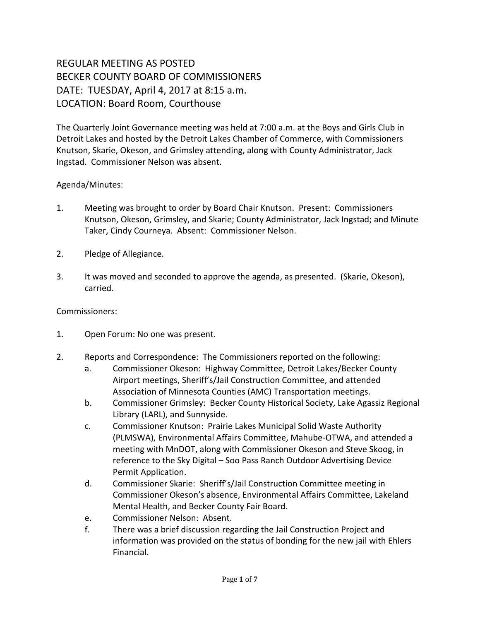## REGULAR MEETING AS POSTED BECKER COUNTY BOARD OF COMMISSIONERS DATE: TUESDAY, April 4, 2017 at 8:15 a.m. LOCATION: Board Room, Courthouse

The Quarterly Joint Governance meeting was held at 7:00 a.m. at the Boys and Girls Club in Detroit Lakes and hosted by the Detroit Lakes Chamber of Commerce, with Commissioners Knutson, Skarie, Okeson, and Grimsley attending, along with County Administrator, Jack Ingstad. Commissioner Nelson was absent.

## Agenda/Minutes:

- 1. Meeting was brought to order by Board Chair Knutson. Present: Commissioners Knutson, Okeson, Grimsley, and Skarie; County Administrator, Jack Ingstad; and Minute Taker, Cindy Courneya. Absent: Commissioner Nelson.
- 2. Pledge of Allegiance.
- 3. It was moved and seconded to approve the agenda, as presented. (Skarie, Okeson), carried.

Commissioners:

- 1. Open Forum: No one was present.
- 2. Reports and Correspondence: The Commissioners reported on the following:
	- a. Commissioner Okeson: Highway Committee, Detroit Lakes/Becker County Airport meetings, Sheriff's/Jail Construction Committee, and attended Association of Minnesota Counties (AMC) Transportation meetings.
	- b. Commissioner Grimsley: Becker County Historical Society, Lake Agassiz Regional Library (LARL), and Sunnyside.
	- c. Commissioner Knutson: Prairie Lakes Municipal Solid Waste Authority (PLMSWA), Environmental Affairs Committee, Mahube-OTWA, and attended a meeting with MnDOT, along with Commissioner Okeson and Steve Skoog, in reference to the Sky Digital – Soo Pass Ranch Outdoor Advertising Device Permit Application.
	- d. Commissioner Skarie: Sheriff's/Jail Construction Committee meeting in Commissioner Okeson's absence, Environmental Affairs Committee, Lakeland Mental Health, and Becker County Fair Board.
	- e. Commissioner Nelson: Absent.
	- f. There was a brief discussion regarding the Jail Construction Project and information was provided on the status of bonding for the new jail with Ehlers Financial.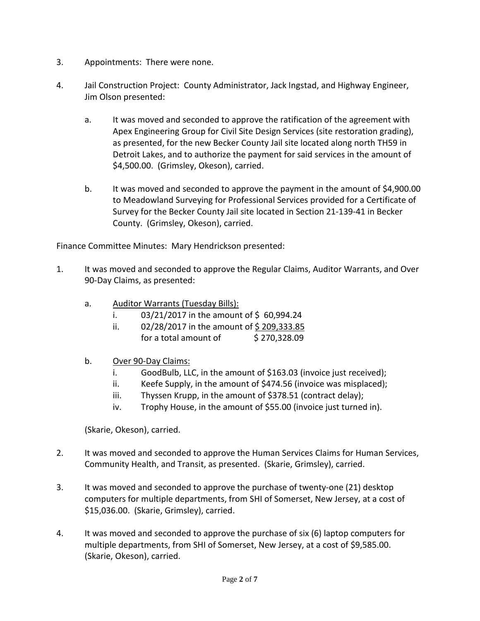- 3. Appointments: There were none.
- 4. Jail Construction Project: County Administrator, Jack Ingstad, and Highway Engineer, Jim Olson presented:
	- a. It was moved and seconded to approve the ratification of the agreement with Apex Engineering Group for Civil Site Design Services (site restoration grading), as presented, for the new Becker County Jail site located along north TH59 in Detroit Lakes, and to authorize the payment for said services in the amount of \$4,500.00. (Grimsley, Okeson), carried.
	- b. It was moved and seconded to approve the payment in the amount of \$4,900.00 to Meadowland Surveying for Professional Services provided for a Certificate of Survey for the Becker County Jail site located in Section 21-139-41 in Becker County. (Grimsley, Okeson), carried.

Finance Committee Minutes: Mary Hendrickson presented:

- 1. It was moved and seconded to approve the Regular Claims, Auditor Warrants, and Over 90-Day Claims, as presented:
	- a. Auditor Warrants (Tuesday Bills):
		- i.  $03/21/2017$  in the amount of \$60,994.24
		- ii. 02/28/2017 in the amount of \$209,333.85 for a total amount of  $\qquad$  \$ 270,328.09
	- b. Over 90-Day Claims:
		- i. GoodBulb, LLC, in the amount of \$163.03 (invoice just received);
		- ii. Keefe Supply, in the amount of \$474.56 (invoice was misplaced);
		- iii. Thyssen Krupp, in the amount of \$378.51 (contract delay);
		- iv. Trophy House, in the amount of \$55.00 (invoice just turned in).

(Skarie, Okeson), carried.

- 2. It was moved and seconded to approve the Human Services Claims for Human Services, Community Health, and Transit, as presented. (Skarie, Grimsley), carried.
- 3. It was moved and seconded to approve the purchase of twenty-one (21) desktop computers for multiple departments, from SHI of Somerset, New Jersey, at a cost of \$15,036.00. (Skarie, Grimsley), carried.
- 4. It was moved and seconded to approve the purchase of six (6) laptop computers for multiple departments, from SHI of Somerset, New Jersey, at a cost of \$9,585.00. (Skarie, Okeson), carried.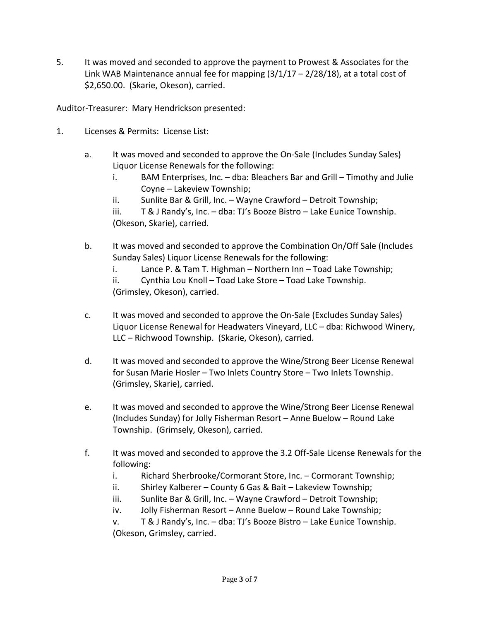5. It was moved and seconded to approve the payment to Prowest & Associates for the Link WAB Maintenance annual fee for mapping  $(3/1/17 - 2/28/18)$ , at a total cost of \$2,650.00. (Skarie, Okeson), carried.

Auditor-Treasurer: Mary Hendrickson presented:

- 1. Licenses & Permits: License List:
	- a. It was moved and seconded to approve the On-Sale (Includes Sunday Sales) Liquor License Renewals for the following:
		- i. BAM Enterprises, Inc. dba: Bleachers Bar and Grill Timothy and Julie Coyne – Lakeview Township;
		- ii. Sunlite Bar & Grill, Inc. Wayne Crawford Detroit Township;
		- iii. T & J Randy's, Inc. dba: TJ's Booze Bistro Lake Eunice Township. (Okeson, Skarie), carried.
	- b. It was moved and seconded to approve the Combination On/Off Sale (Includes Sunday Sales) Liquor License Renewals for the following:
		- i. Lance P. & Tam T. Highman Northern Inn Toad Lake Township;

ii. Cynthia Lou Knoll – Toad Lake Store – Toad Lake Township. (Grimsley, Okeson), carried.

- c. It was moved and seconded to approve the On-Sale (Excludes Sunday Sales) Liquor License Renewal for Headwaters Vineyard, LLC – dba: Richwood Winery, LLC – Richwood Township. (Skarie, Okeson), carried.
- d. It was moved and seconded to approve the Wine/Strong Beer License Renewal for Susan Marie Hosler – Two Inlets Country Store – Two Inlets Township. (Grimsley, Skarie), carried.
- e. It was moved and seconded to approve the Wine/Strong Beer License Renewal (Includes Sunday) for Jolly Fisherman Resort – Anne Buelow – Round Lake Township. (Grimsely, Okeson), carried.
- f. It was moved and seconded to approve the 3.2 Off-Sale License Renewals for the following:
	- i. Richard Sherbrooke/Cormorant Store, Inc. Cormorant Township;
	- ii. Shirley Kalberer County 6 Gas & Bait Lakeview Township;
	- iii. Sunlite Bar & Grill, Inc. Wayne Crawford Detroit Township;
	- iv. Jolly Fisherman Resort Anne Buelow Round Lake Township;

v. T & J Randy's, Inc. – dba: TJ's Booze Bistro – Lake Eunice Township. (Okeson, Grimsley, carried.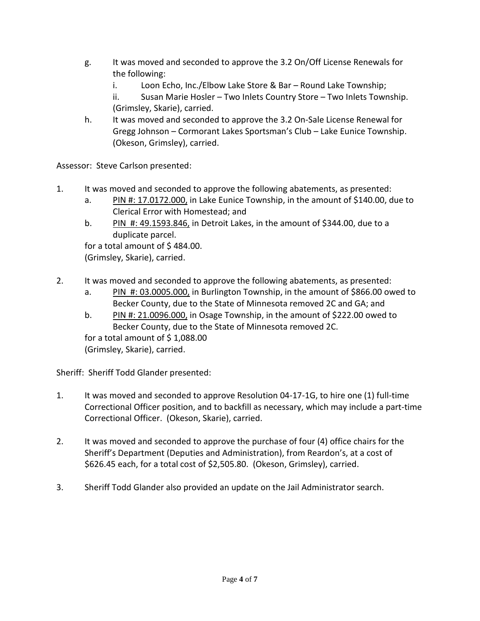- g. It was moved and seconded to approve the 3.2 On/Off License Renewals for the following:
	- i. Loon Echo, Inc./Elbow Lake Store & Bar Round Lake Township;

ii. Susan Marie Hosler – Two Inlets Country Store – Two Inlets Township. (Grimsley, Skarie), carried.

h. It was moved and seconded to approve the 3.2 On-Sale License Renewal for Gregg Johnson – Cormorant Lakes Sportsman's Club – Lake Eunice Township. (Okeson, Grimsley), carried.

Assessor: Steve Carlson presented:

- 1. It was moved and seconded to approve the following abatements, as presented:
	- a. PIN #: 17.0172.000, in Lake Eunice Township, in the amount of \$140.00, due to Clerical Error with Homestead; and
	- b. PIN  $#$ : 49.1593.846, in Detroit Lakes, in the amount of \$344.00, due to a duplicate parcel.

for a total amount of \$484.00. (Grimsley, Skarie), carried.

- 2. It was moved and seconded to approve the following abatements, as presented:
	- a. PIN #: 03.0005.000, in Burlington Township, in the amount of \$866.00 owed to Becker County, due to the State of Minnesota removed 2C and GA; and
	- b. PIN #: 21.0096.000, in Osage Township, in the amount of \$222.00 owed to Becker County, due to the State of Minnesota removed 2C.

for a total amount of  $$1,088.00$ (Grimsley, Skarie), carried.

Sheriff: Sheriff Todd Glander presented:

- 1. It was moved and seconded to approve Resolution 04-17-1G, to hire one (1) full-time Correctional Officer position, and to backfill as necessary, which may include a part-time Correctional Officer. (Okeson, Skarie), carried.
- 2. It was moved and seconded to approve the purchase of four (4) office chairs for the Sheriff's Department (Deputies and Administration), from Reardon's, at a cost of \$626.45 each, for a total cost of \$2,505.80. (Okeson, Grimsley), carried.
- 3. Sheriff Todd Glander also provided an update on the Jail Administrator search.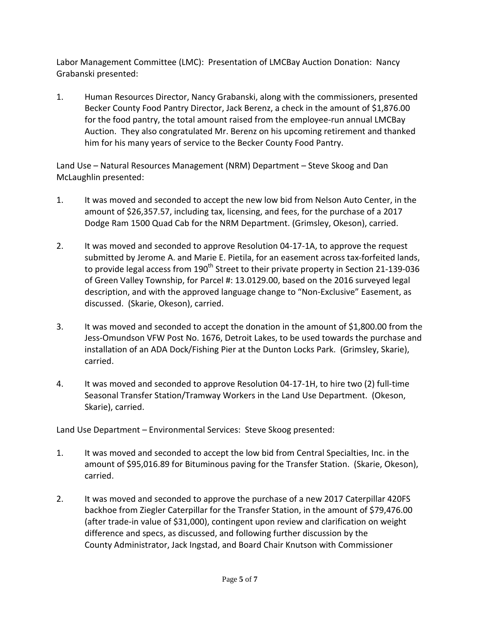Labor Management Committee (LMC): Presentation of LMCBay Auction Donation: Nancy Grabanski presented:

1. Human Resources Director, Nancy Grabanski, along with the commissioners, presented Becker County Food Pantry Director, Jack Berenz, a check in the amount of \$1,876.00 for the food pantry, the total amount raised from the employee-run annual LMCBay Auction. They also congratulated Mr. Berenz on his upcoming retirement and thanked him for his many years of service to the Becker County Food Pantry.

Land Use – Natural Resources Management (NRM) Department – Steve Skoog and Dan McLaughlin presented:

- 1. It was moved and seconded to accept the new low bid from Nelson Auto Center, in the amount of \$26,357.57, including tax, licensing, and fees, for the purchase of a 2017 Dodge Ram 1500 Quad Cab for the NRM Department. (Grimsley, Okeson), carried.
- 2. It was moved and seconded to approve Resolution 04-17-1A, to approve the request submitted by Jerome A. and Marie E. Pietila, for an easement across tax-forfeited lands, to provide legal access from 190<sup>th</sup> Street to their private property in Section 21-139-036 of Green Valley Township, for Parcel #: 13.0129.00, based on the 2016 surveyed legal description, and with the approved language change to "Non-Exclusive" Easement, as discussed. (Skarie, Okeson), carried.
- 3. It was moved and seconded to accept the donation in the amount of \$1,800.00 from the Jess-Omundson VFW Post No. 1676, Detroit Lakes, to be used towards the purchase and installation of an ADA Dock/Fishing Pier at the Dunton Locks Park. (Grimsley, Skarie), carried.
- 4. It was moved and seconded to approve Resolution 04-17-1H, to hire two (2) full-time Seasonal Transfer Station/Tramway Workers in the Land Use Department. (Okeson, Skarie), carried.

Land Use Department – Environmental Services: Steve Skoog presented:

- 1. It was moved and seconded to accept the low bid from Central Specialties, Inc. in the amount of \$95,016.89 for Bituminous paving for the Transfer Station. (Skarie, Okeson), carried.
- 2. It was moved and seconded to approve the purchase of a new 2017 Caterpillar 420FS backhoe from Ziegler Caterpillar for the Transfer Station, in the amount of \$79,476.00 (after trade-in value of \$31,000), contingent upon review and clarification on weight difference and specs, as discussed, and following further discussion by the County Administrator, Jack Ingstad, and Board Chair Knutson with Commissioner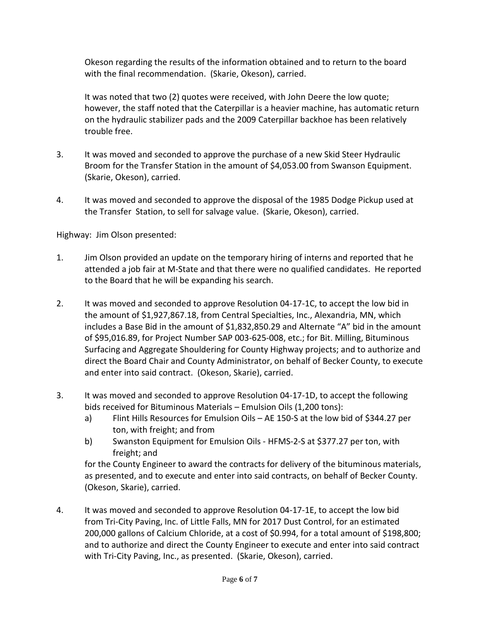Okeson regarding the results of the information obtained and to return to the board with the final recommendation. (Skarie, Okeson), carried.

It was noted that two (2) quotes were received, with John Deere the low quote; however, the staff noted that the Caterpillar is a heavier machine, has automatic return on the hydraulic stabilizer pads and the 2009 Caterpillar backhoe has been relatively trouble free.

- 3. It was moved and seconded to approve the purchase of a new Skid Steer Hydraulic Broom for the Transfer Station in the amount of \$4,053.00 from Swanson Equipment. (Skarie, Okeson), carried.
- 4. It was moved and seconded to approve the disposal of the 1985 Dodge Pickup used at the Transfer Station, to sell for salvage value. (Skarie, Okeson), carried.

Highway: Jim Olson presented:

- 1. Jim Olson provided an update on the temporary hiring of interns and reported that he attended a job fair at M-State and that there were no qualified candidates. He reported to the Board that he will be expanding his search.
- 2. It was moved and seconded to approve Resolution 04-17-1C, to accept the low bid in the amount of \$1,927,867.18, from Central Specialties, Inc., Alexandria, MN, which includes a Base Bid in the amount of \$1,832,850.29 and Alternate "A" bid in the amount of \$95,016.89, for Project Number SAP 003-625-008, etc.; for Bit. Milling, Bituminous Surfacing and Aggregate Shouldering for County Highway projects; and to authorize and direct the Board Chair and County Administrator, on behalf of Becker County, to execute and enter into said contract. (Okeson, Skarie), carried.
- 3. It was moved and seconded to approve Resolution 04-17-1D, to accept the following bids received for Bituminous Materials – Emulsion Oils (1,200 tons):
	- a) Flint Hills Resources for Emulsion Oils AE 150-S at the low bid of \$344.27 per ton, with freight; and from
	- b) Swanston Equipment for Emulsion Oils HFMS-2-S at \$377.27 per ton, with freight; and

for the County Engineer to award the contracts for delivery of the bituminous materials, as presented, and to execute and enter into said contracts, on behalf of Becker County. (Okeson, Skarie), carried.

4. It was moved and seconded to approve Resolution 04-17-1E, to accept the low bid from Tri-City Paving, Inc. of Little Falls, MN for 2017 Dust Control, for an estimated 200,000 gallons of Calcium Chloride, at a cost of \$0.994, for a total amount of \$198,800; and to authorize and direct the County Engineer to execute and enter into said contract with Tri-City Paving, Inc., as presented. (Skarie, Okeson), carried.